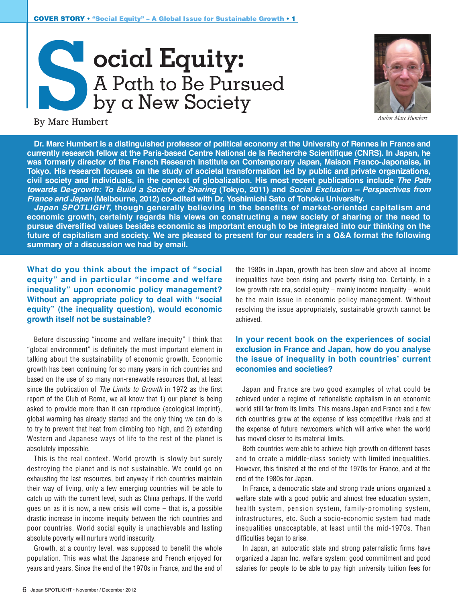



*Author Marc Humbert*

**By Marc Humbert**

**Dr. Marc Humbert is a distinguished professor of political economy at the University of Rennes in France and currently research fellow at the Paris-based Centre National de la Recherche Scientifique (CNRS). In Japan, he was formerly director of the French Research Institute on Contemporary Japan, Maison Franco-Japonaise, in Tokyo. His research focuses on the study of societal transformation led by public and private organizations, civil society and individuals, in the context of globalization. His most recent publications include** *The Path towards De-growth: To Build a Society of Sharing* **(Tokyo, 2011) and** *Social Exclusion – Perspectives from France and Japan* **(Melbourne, 2012) co-edited with Dr. Yoshimichi Sato of Tohoku University.**

*Japan SPOTLIGHT,* **though generally believing in the benefits of market-oriented capitalism and economic growth, certainly regards his views on constructing a new society of sharing or the need to pursue diversified values besides economic as important enough to be integrated into our thinking on the future of capitalism and society. We are pleased to present for our readers in a Q&A format the following summary of a discussion we had by email.**

**What do you think about the impact of "social equity" and in particular "income and welfare inequality" upon economic policy management? Without an appropriate policy to deal with "social equity" (the inequality question), would economic growth itself not be sustainable?**

Before discussing "income and welfare inequity" I think that "global environment" is definitely the most important element in talking about the sustainability of economic growth. Economic growth has been continuing for so many years in rich countries and based on the use of so many non-renewable resources that, at least since the publication of *The Limits to Growth* in 1972 as the first report of the Club of Rome, we all know that 1) our planet is being asked to provide more than it can reproduce (ecological imprint), global warming has already started and the only thing we can do is to try to prevent that heat from climbing too high, and 2) extending Western and Japanese ways of life to the rest of the planet is absolutely impossible.

This is the real context. World growth is slowly but surely destroying the planet and is not sustainable. We could go on exhausting the last resources, but anyway if rich countries maintain their way of living, only a few emerging countries will be able to catch up with the current level, such as China perhaps. If the world goes on as it is now, a new crisis will come – that is, a possible drastic increase in income inequity between the rich countries and poor countries. World social equity is unachievable and lasting absolute poverty will nurture world insecurity.

Growth, at a country level, was supposed to benefit the whole population. This was what the Japanese and French enjoyed for years and years. Since the end of the 1970s in France, and the end of

the 1980s in Japan, growth has been slow and above all income inequalities have been rising and poverty rising too. Certainly, in a low growth rate era, social equity – mainly income inequality – would be the main issue in economic policy management. Without resolving the issue appropriately, sustainable growth cannot be achieved.

# **In your recent book on the experiences of social exclusion in France and Japan, how do you analyse the issue of inequality in both countries' current economies and societies?**

Japan and France are two good examples of what could be achieved under a regime of nationalistic capitalism in an economic world still far from its limits. This means Japan and France and a few rich countries grew at the expense of less competitive rivals and at the expense of future newcomers which will arrive when the world has moved closer to its material limits.

Both countries were able to achieve high growth on different bases and to create a middle-class society with limited inequalities. However, this finished at the end of the 1970s for France, and at the end of the 1980s for Japan.

In France, a democratic state and strong trade unions organized a welfare state with a good public and almost free education system, health system, pension system, family-promoting system, infrastructures, etc. Such a socio-economic system had made inequalities unacceptable, at least until the mid-1970s. Then difficulties began to arise.

In Japan, an autocratic state and strong paternalistic firms have organized a Japan Inc. welfare system: good commitment and good salaries for people to be able to pay high university tuition fees for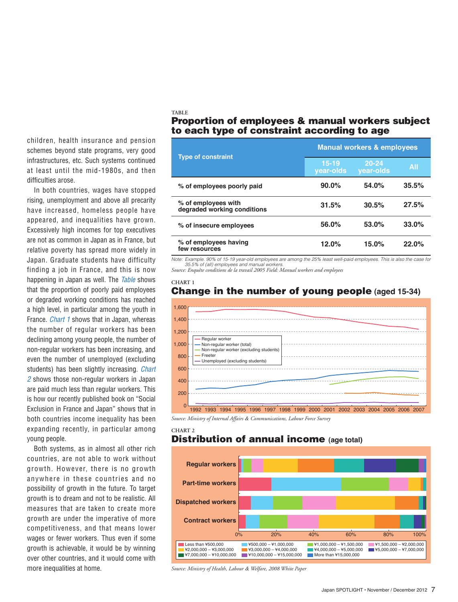children, health insurance and pension schemes beyond state programs, very good infrastructures, etc. Such systems continued at least until the mid-1980s, and then difficulties arose.

In both countries, wages have stopped rising, unemployment and above all precarity have increased, homeless people have appeared, and inequalities have grown. Excessively high incomes for top executives are not as common in Japan as in France, but relative poverty has spread more widely in Japan. Graduate students have difficulty finding a job in France, and this is now happening in Japan as well. The *Table* shows that the proportion of poorly paid employees or degraded working conditions has reached a high level, in particular among the youth in France. *Chart 1* shows that in Japan, whereas the number of regular workers has been declining among young people, the number of non-regular workers has been increasing, and even the number of unemployed (excluding students) has been slightly increasing. *Chart 2* shows those non-regular workers in Japan are paid much less than regular workers. This is how our recently published book on "Social Exclusion in France and Japan" shows that in both countries income inequality has been expanding recently, in particular among young people.

Both systems, as in almost all other rich countries, are not able to work without growth. However, there is no growth anywhere in these countries and no possibility of growth in the future. To target growth is to dream and not to be realistic. All measures that are taken to create more growth are under the imperative of more competitiveness, and that means lower wages or fewer workers. Thus even if some growth is achievable, it would be by winning over other countries, and it would come with more inequalities at home.

### **TABLE** Proportion of employees & manual workers subject to each type of constraint according to age

| <b>Type of constraint</b>                          | <b>Manual workers &amp; employees</b> |                        |       |
|----------------------------------------------------|---------------------------------------|------------------------|-------|
|                                                    | $15 - 19$<br>year-olds                | $20 - 24$<br>year-olds | All   |
| % of employees poorly paid                         | $90.0\%$                              | 54.0%                  | 35.5% |
| % of employees with<br>degraded working conditions | 31.5%                                 | 30.5%                  | 27.5% |
| % of insecure employees                            | 56.0%                                 | 53.0%                  | 33.0% |
| % of employees having<br>few resources             | 12.0%                                 | 15.0%                  | 22.0% |

*Note: Example. 90% of 15-19 year-old employees are among the 25% least well-paid employees. This is also the case for 35.5% of (all) employees and manual workers.*

*Source: Enquête conditions de la travail 2005 Field: Manual workers and employees*

# **CHART 1** Change in the number of young people **(aged 15-34)**



*Source: Ministry of Internal Affairs & Communications, Labour Force Survey*

#### **CHART 2**

## **Distribution of annual income (age total)**



*Source: Ministry of Health, Labour & Welfare, 2008 White Paper*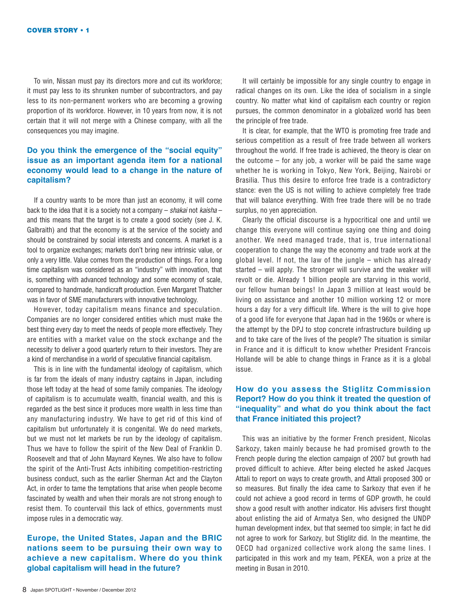To win, Nissan must pay its directors more and cut its workforce; it must pay less to its shrunken number of subcontractors, and pay less to its non-permanent workers who are becoming a growing proportion of its workforce. However, in 10 years from now, it is not certain that it will not merge with a Chinese company, with all the consequences you may imagine.

### **Do you think the emergence of the "social equity" issue as an important agenda item for a national economy would lead to a change in the nature of capitalism?**

If a country wants to be more than just an economy, it will come back to the idea that it is a society not a company – *shakai* not *kaisha* – and this means that the target is to create a good society (see J. K. Galbraith) and that the economy is at the service of the society and should be constrained by social interests and concerns. A market is a tool to organize exchanges; markets don't bring new intrinsic value, or only a very little. Value comes from the production of things. For a long time capitalism was considered as an "industry" with innovation, that is, something with advanced technology and some economy of scale, compared to handmade, handicraft production. Even Margaret Thatcher was in favor of SME manufacturers with innovative technology.

However, today capitalism means finance and speculation. Companies are no longer considered entities which must make the best thing every day to meet the needs of people more effectively. They are entities with a market value on the stock exchange and the necessity to deliver a good quarterly return to their investors. They are a kind of merchandise in a world of speculative financial capitalism.

This is in line with the fundamental ideology of capitalism, which is far from the ideals of many industry captains in Japan, including those left today at the head of some family companies. The ideology of capitalism is to accumulate wealth, financial wealth, and this is regarded as the best since it produces more wealth in less time than any manufacturing industry. We have to get rid of this kind of capitalism but unfortunately it is congenital. We do need markets, but we must not let markets be run by the ideology of capitalism. Thus we have to follow the spirit of the New Deal of Franklin D. Roosevelt and that of John Maynard Keynes. We also have to follow the spirit of the Anti-Trust Acts inhibiting competition-restricting business conduct, such as the earlier Sherman Act and the Clayton Act, in order to tame the temptations that arise when people become fascinated by wealth and when their morals are not strong enough to resist them. To countervail this lack of ethics, governments must impose rules in a democratic way.

# **Europe, the United States, Japan and the BRIC nations seem to be pursuing their own way to achieve a new capitalism. Where do you think global capitalism will head in the future?**

It will certainly be impossible for any single country to engage in radical changes on its own. Like the idea of socialism in a single country. No matter what kind of capitalism each country or region pursues, the common denominator in a globalized world has been the principle of free trade.

It is clear, for example, that the WTO is promoting free trade and serious competition as a result of free trade between all workers throughout the world. If free trade is achieved, the theory is clear on the outcome  $-$  for any job, a worker will be paid the same wage whether he is working in Tokyo, New York, Beijing, Nairobi or Brasilia. Thus this desire to enforce free trade is a contradictory stance: even the US is not willing to achieve completely free trade that will balance everything. With free trade there will be no trade surplus, no yen appreciation.

Clearly the official discourse is a hypocritical one and until we change this everyone will continue saying one thing and doing another. We need managed trade, that is, true international cooperation to change the way the economy and trade work at the global level. If not, the law of the jungle – which has already started – will apply. The stronger will survive and the weaker will revolt or die. Already 1 billion people are starving in this world, our fellow human beings! In Japan 3 million at least would be living on assistance and another 10 million working 12 or more hours a day for a very difficult life. Where is the will to give hope of a good life for everyone that Japan had in the 1960s or where is the attempt by the DPJ to stop concrete infrastructure building up and to take care of the lives of the people? The situation is similar in France and it is difficult to know whether President Francois Hollande will be able to change things in France as it is a global issue.

## **How do you assess the Stiglitz Commission Report? How do you think it treated the question of "inequality" and what do you think about the fact that France initiated this project?**

This was an initiative by the former French president, Nicolas Sarkozy, taken mainly because he had promised growth to the French people during the election campaign of 2007 but growth had proved difficult to achieve. After being elected he asked Jacques Attali to report on ways to create growth, and Attali proposed 300 or so measures. But finally the idea came to Sarkozy that even if he could not achieve a good record in terms of GDP growth, he could show a good result with another indicator. His advisers first thought about enlisting the aid of Armatya Sen, who designed the UNDP human development index, but that seemed too simple; in fact he did not agree to work for Sarkozy, but Stiglitz did. In the meantime, the OECD had organized collective work along the same lines. I participated in this work and my team, PEKEA, won a prize at the meeting in Busan in 2010.